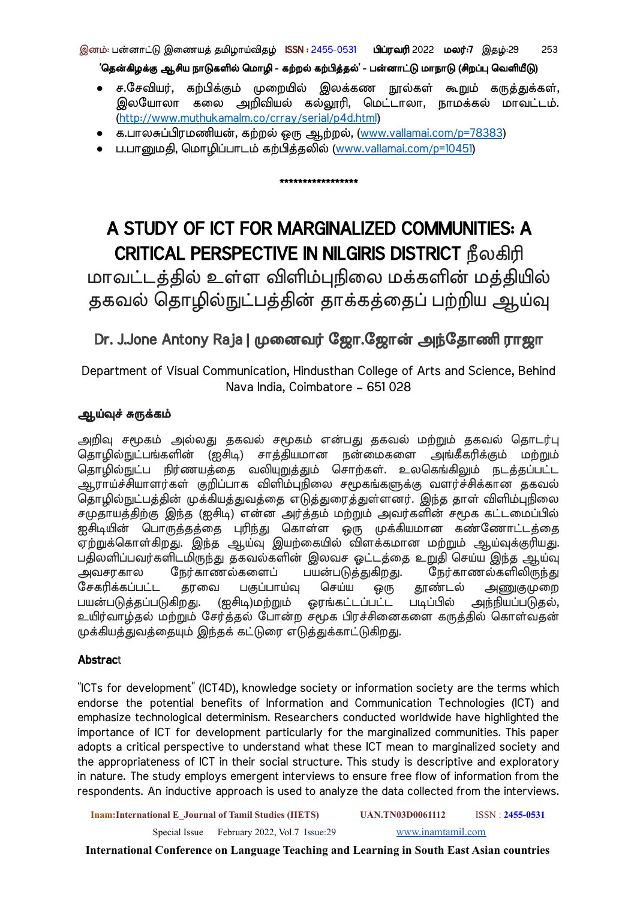### இனம்: பன்னாட்டு இணையத் தமிழாய்விதழ் ISSN : 2455-0531 பி**ப்ரவரி** 2022 ம**லர்:7** இதழ்:29 253

'தென்கிழக்கு ஆசிய நாடுகளில் மொழி - கற்றல் கற்பித்தல்' - பன்னாட்டு மாநாடு (சிறப்பு வெளியீடு)

- ச.சே வியர், கற்பிக்கும் முறை யில் இலக்கண நூல்கள் கூறும் கருத்துக்கள், இலயோலா கலை அறிவியல் கல்லூரி, மெட்டாலா, நாமக்கல் மாவட்டம். [\(http://www.muthukamalm.co/crray/serial/p4d.html](http://www.muthukamalm.co/crray/serial/p4d.html))
- க.பாலசுப்பிரமணியன், கற்றல் ஒரு ஆற்றல், ([www.vallamai.com/p=78383](http://www.vallamai.com/p=78383))
- ப.பானுமதி, ம ொழிப்பாடம் கற்பித்தலில் ([www.vallamai.com/p=10451](http://www.vallamai.com/p=10451))

# A STUDY OF ICT FOR MARGINALIZED COMMUNITIES: A CRITICAL PERSPECTIVE IN NILGIRIS DISTRICT நீலகிரி

\*\*\*\*\*\*\*\*\*\*\*\*\*\*\*\*\*

மாவட்டத்தில் உள்ள விளிம்புநிலை மக்களின் மத்தியில் தகவல் தொழில்நுட்பத்தின் தாக்கத்தைப் பற்றிய ஆய்வு

## Dr. J.Jone Antony Raja | முனைவர் ஜோ.ஜோன் அந்தோணி ராஜா

Department of Visual Communication, Hindusthan College of Arts and Science, Behind Nava India, Coimbatore – 651 028

## ஆய்வுச் சுருக்கம்

அறிவு சமூகம் அல்லது தகவல் சமூகம் என்பது தகவல் மற்றும் தகவல் தொடர்பு தொழில்நுட்பங்களின் (ஐசிடி) சாத்தியமான நன்மைகளை அங்கீகரிக்கும் மற்றும் தொழில்நுட்ப நிர்ணயத்தை வலியுறுத்தும் சொற்கள். உலகெங்கிலும் நடத்தப்பட்ட ஆராய்ச்சியாளர்கள் குறிப்பாக விளிம்புநிலை சமூகங்களுக்கு வளர்ச்சிக்கான தகவல் தொழில்நுட்பத்தின் முக்கியத்துவத்தை எடுத்துரைத்துள்ளனர். இந்த தாள் விளிம்புநிலை சமுதாயத்திற்கு இந்த (ஐசிடி) என்ன அர்த்தம் மற்றும் அவர்களின் சமூக கட்டமைப்பில் ு திட்டத்த திருத்தத்தை புரிந்து கொள்ள ஒரு முக்கியமான கண்ணோட்டத்தை<br>ஐசிடியின் பொருத்தத்தை புரிந்து கொள்ள ஒரு முக்கியமான கண்ணோட்டத்தை .<br>ஏற்றுக்கொள்கிறது. இந்த ஆய்வு இயற்கையில் விளக்கமான மற்றும் ஆய்வுக்குரியது. பதிலளிப்பவர்களிடமிருந்து தகவல்களின் இலவச ஓட்டத்தை உறுதி செய்ய இந்த ஆய்வு அவசரகால நேர்காணல்களைப் பயன்படுத்துகிறது. நேர்காணல்களிலிருந்து சேகரிக்கப்பட்ட தரவை பகுப்பாய்வு செய்ய ஒரு தூண்டல் அணுகுமுறை பயன்படுத்தப்படுகிறது. (ஐசிடி)மற்றும் ஓரங்கட்டப்பட்ட படிப்பில் அந்நியப்படுதல், உயிர்வாழ்தல் மற்றும் சேர்த்தல் போன்ற சமூக பிரச்சினைகளை கருத்தில் கொள்வதன் முக்கியத்துவத்தை யும் இந்தக் கட்டுரை எடுத்துக்காட்டுகிறது.

## **Abstract**

"ICTs for development" (ICT4D), knowledge society or information society are the terms which endorse the potential benefits of Information and Communication Technologies (ICT) and emphasize technological determinism. Researchers conducted worldwide have highlighted the importance of ICT for development particularly for the marginalized communities. This paper adopts a critical perspective to understand what these ICT mean to marginalized society and the appropriateness of ICT in their social structure. This study is descriptive and exploratory in nature. The study employs emergent interviews to ensure free flow of information from the respondents. An inductive approach is used to analyze the data collected from the interviews.

**Inam:International E\_Journal of Tamil Studies (IIETS) UAN.TN03D0061112** ISSN : **2455-0531**

Special Issue February 2022, Vol.7 Issue:29 [www.inamtamil.com](http://www.inamtamil.com)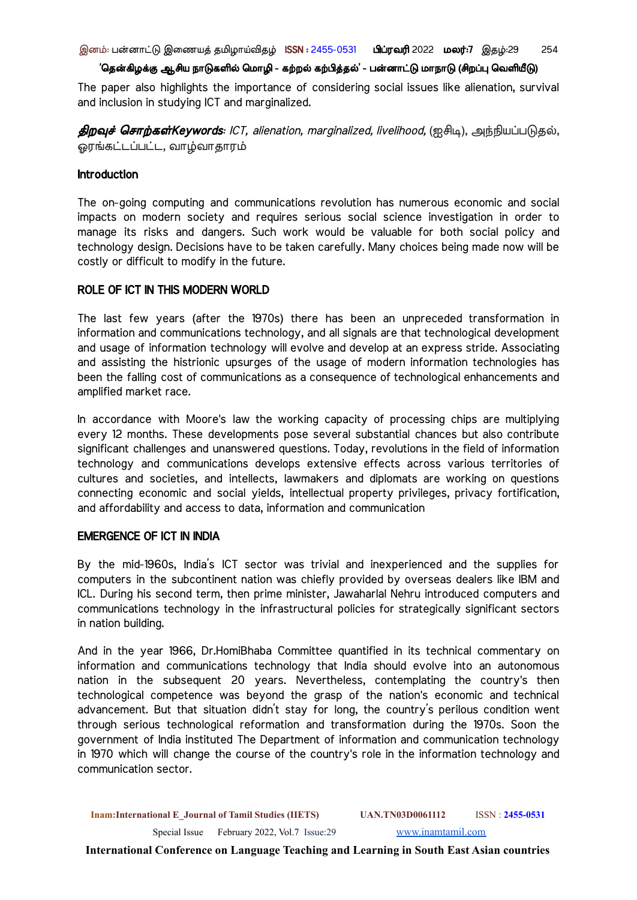இனம்: பன்னாட்டு இணையத் தமிழாய்விதழ் ISSN : 2455-0531 பிப்ரவரி 2022 மலர்:7 இதழ்:29 254

#### 'தென்கிழக்கு ஆசிய நாடுகளில் மொழி - கற்றல் கற்பித்தல்' - பன்னாட்டு மாநாடு (சிறப்பு வெளியீடு)

The paper also highlights the importance of considering social issues like alienation, survival and inclusion in studying ICT and marginalized.

திறவுச் சொற்கள்Keywords: ICT, alienation, marginalized, livelihood, (ஐசிடி), அந்நியப்படுதல், ஓரங்கட்டப்பட்ட, வாழ்வாதாரம்

## **Introduction**

The on-going computing and communications revolution has numerous economic and social impacts on modern society and requires serious social science investigation in order to manage its risks and dangers. Such work would be valuable for both social policy and technology design. Decisions have to be taken carefully. Many choices being made now will be costly or difficult to modify in the future.

## ROLE OF ICT IN THIS MODERN WORLD

The last few years (after the 1970s) there has been an unpreceded transformation in information and communications technology, and all signals are that technological development and usage of information technology will evolve and develop at an express stride. Associating and assisting the histrionic upsurges of the usage of modern information technologies has been the falling cost of communications as a consequence of technological enhancements and amplified market race.

In accordance with Moore's law the working capacity of processing chips are multiplying every 12 months. These developments pose several substantial chances but also contribute significant challenges and unanswered questions. Today, revolutions in the field of information technology and communications develops extensive effects across various territories of cultures and societies, and intellects, lawmakers and diplomats are working on questions connecting economic and social yields, intellectual property privileges, privacy fortification, and affordability and access to data, information and communication

## EMERGENCE OF ICT IN INDIA

By the mid-1960s, India's ICT sector was trivial and inexperienced and the supplies for computers in the subcontinent nation was chiefly provided by overseas dealers like IBM and ICL. During his second term, then prime minister, Jawaharlal Nehru introduced computers and communications technology in the infrastructural policies for strategically significant sectors in nation building.

And in the year 1966, Dr.HomiBhaba Committee quantified in its technical commentary on information and communications technology that India should evolve into an autonomous nation in the subsequent 20 years. Nevertheless, contemplating the country's then technological competence was beyond the grasp of the nation's economic and technical advancement. But that situation didn't stay for long, the country's perilous condition went through serious technological reformation and transformation during the 1970s. Soon the government of India instituted The Department of information and communication technology in 1970 which will change the course of the country's role in the information technology and communication sector.

**Inam:International E\_Journal of Tamil Studies (IIETS) UAN.TN03D0061112** ISSN : **2455-0531** Special Issue February 2022, Vol.7 Issue:29 [www.inamtamil.com](http://www.inamtamil.com)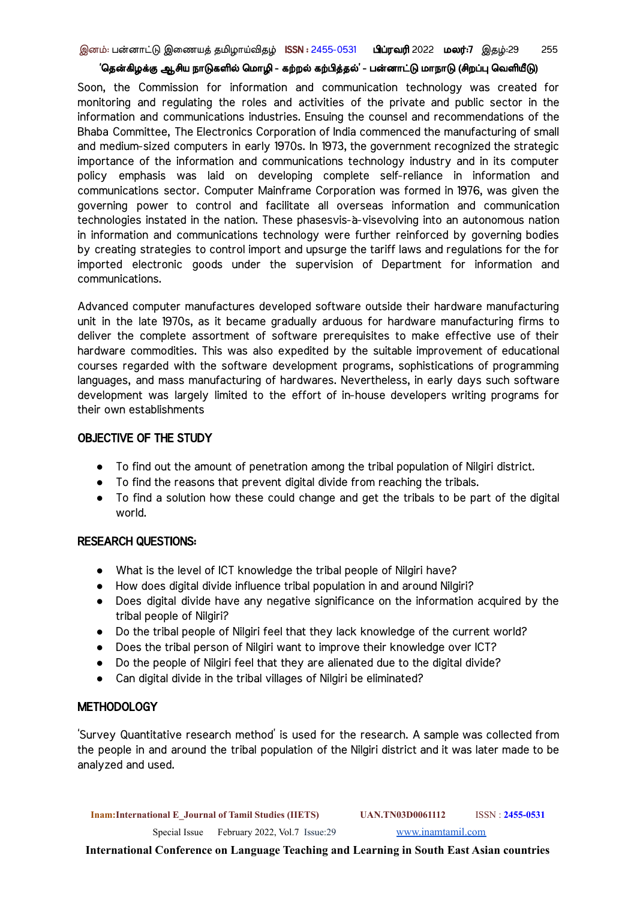Soon, the Commission for information and communication technology was created for monitoring and regulating the roles and activities of the private and public sector in the information and communications industries. Ensuing the counsel and recommendations of the Bhaba Committee, The Electronics Corporation of India commenced the manufacturing of small and medium-sized computers in early 1970s. In 1973, the government recognized the strategic importance of the information and communications technology industry and in its computer policy emphasis was laid on developing complete self-reliance in information and communications sector. Computer Mainframe Corporation was formed in 1976, was given the governing power to control and facilitate all overseas information and communication technologies instated in the nation. These phasesvis-à-visevolving into an autonomous nation in information and communications technology were further reinforced by governing bodies by creating strategies to control import and upsurge the tariff laws and regulations for the for imported electronic goods under the supervision of Department for information and communications.

Advanced computer manufactures developed software outside their hardware manufacturing unit in the late 1970s, as it became gradually arduous for hardware manufacturing firms to deliver the complete assortment of software prerequisites to make effective use of their hardware commodities. This was also expedited by the suitable improvement of educational courses regarded with the software development programs, sophistications of programming languages, and mass manufacturing of hardwares. Nevertheless, in early days such software development was largely limited to the effort of in-house developers writing programs for their own establishments

## OBJECTIVE OF THE STUDY

- To find out the amount of penetration among the tribal population of Nilgiri district.
- To find the reasons that prevent digital divide from reaching the tribals.
- To find a solution how these could change and get the tribals to be part of the digital world.

## RESEARCH QUESTIONS:

- What is the level of ICT knowledge the tribal people of Nilgiri have?
- How does digital divide influence tribal population in and around Nilgiri?
- Does digital divide have any negative significance on the information acquired by the tribal people of Nilgiri?
- Do the tribal people of Nilgiri feel that they lack knowledge of the current world?
- Does the tribal person of Nilgiri want to improve their knowledge over ICT?
- Do the people of Nilgiri feel that they are alienated due to the digital divide?
- Can digital divide in the tribal villages of Nilgiri be eliminated?

#### **METHODOLOGY**

'Survey Quantitative research method' is used for the research. A sample was collected from the people in and around the tribal population of the Nilgiri district and it was later made to be analyzed and used.

**Inam:International E\_Journal of Tamil Studies (IIETS) UAN.TN03D0061112** ISSN : **2455-0531**

Special Issue February 2022, Vol.7 Issue:29 [www.inamtamil.com](http://www.inamtamil.com)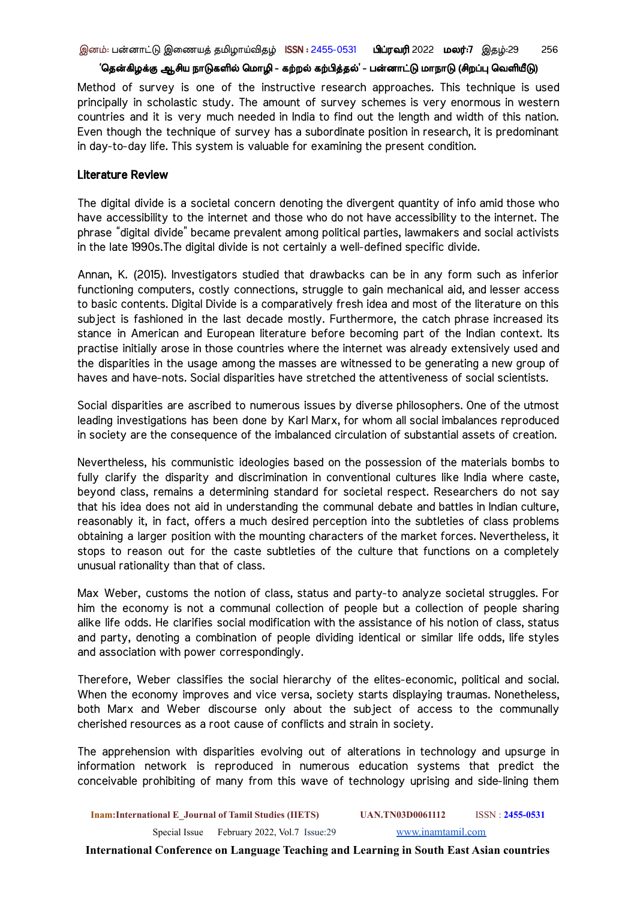Method of survey is one of the instructive research approaches. This technique is used principally in scholastic study. The amount of survey schemes is very enormous in western countries and it is very much needed in India to find out the length and width of this nation. Even though the technique of survey has a subordinate position in research, it is predominant in day-to-day life. This system is valuable for examining the present condition.

#### Literature Review

The digital divide is a societal concern denoting the divergent quantity of info amid those who have accessibility to the internet and those who do not have accessibility to the internet. The phrase "digital divide" became prevalent among political parties, lawmakers and social activists in the late 1990s.The digital divide is not certainly a well-defined specific divide.

Annan, K. (2015). Investigators studied that drawbacks can be in any form such as inferior functioning computers, costly connections, struggle to gain mechanical aid, and lesser access to basic contents. Digital Divide is a comparatively fresh idea and most of the literature on this subject is fashioned in the last decade mostly. Furthermore, the catch phrase increased its stance in American and European literature before becoming part of the Indian context. Its practise initially arose in those countries where the internet was already extensively used and the disparities in the usage among the masses are witnessed to be generating a new group of haves and have-nots. Social disparities have stretched the attentiveness of social scientists.

Social disparities are ascribed to numerous issues by diverse philosophers. One of the utmost leading investigations has been done by Karl Marx, for whom all social imbalances reproduced in society are the consequence of the imbalanced circulation of substantial assets of creation.

Nevertheless, his communistic ideologies based on the possession of the materials bombs to fully clarify the disparity and discrimination in conventional cultures like India where caste, beyond class, remains a determining standard for societal respect. Researchers do not say that his idea does not aid in understanding the communal debate and battles in Indian culture, reasonably it, in fact, offers a much desired perception into the subtleties of class problems obtaining a larger position with the mounting characters of the market forces. Nevertheless, it stops to reason out for the caste subtleties of the culture that functions on a completely unusual rationality than that of class.

Max Weber, customs the notion of class, status and party-to analyze societal struggles. For him the economy is not a communal collection of people but a collection of people sharing alike life odds. He clarifies social modification with the assistance of his notion of class, status and party, denoting a combination of people dividing identical or similar life odds, life styles and association with power correspondingly.

Therefore, Weber classifies the social hierarchy of the elites-economic, political and social. When the economy improves and vice versa, society starts displaying traumas. Nonetheless, both Marx and Weber discourse only about the subject of access to the communally cherished resources as a root cause of conflicts and strain in society.

The apprehension with disparities evolving out of alterations in technology and upsurge in information network is reproduced in numerous education systems that predict the conceivable prohibiting of many from this wave of technology uprising and side-lining them

**Inam:International E\_Journal of Tamil Studies (IIETS) UAN.TN03D0061112** ISSN : **2455-0531** Special Issue February 2022, Vol.7 Issue:29 [www.inamtamil.com](http://www.inamtamil.com)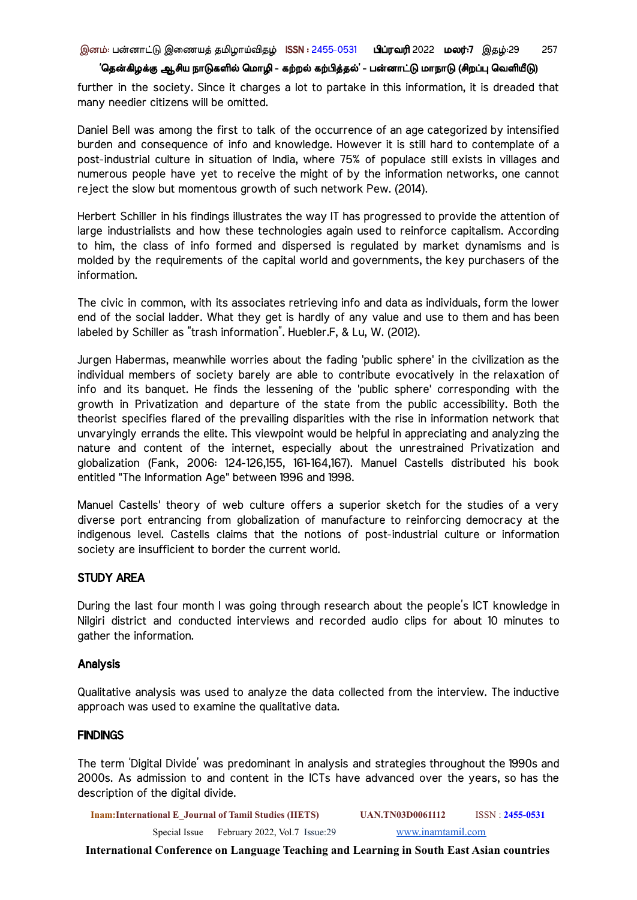further in the society. Since it charges a lot to partake in this information, it is dreaded that many needier citizens will be omitted.

Daniel Bell was among the first to talk of the occurrence of an age categorized by intensified burden and consequence of info and knowledge. However it is still hard to contemplate of a post-industrial culture in situation of India, where 75% of populace still exists in villages and numerous people have yet to receive the might of by the information networks, one cannot reject the slow but momentous growth of such network Pew. (2014).

Herbert Schiller in his findings illustrates the way IT has progressed to provide the attention of large industrialists and how these technologies again used to reinforce capitalism. According to him, the class of info formed and dispersed is regulated by market dynamisms and is molded by the requirements of the capital world and governments, the key purchasers of the information.

The civic in common, with its associates retrieving info and data as individuals, form the lower end of the social ladder. What they get is hardly of any value and use to them and has been labeled by Schiller as "trash information". Huebler.F, & Lu, W. (2012).

Jurgen Habermas, meanwhile worries about the fading 'public sphere' in the civilization as the individual members of society barely are able to contribute evocatively in the relaxation of info and its banquet. He finds the lessening of the 'public sphere' corresponding with the growth in Privatization and departure of the state from the public accessibility. Both the theorist specifies flared of the prevailing disparities with the rise in information network that unvaryingly errands the elite. This viewpoint would be helpful in appreciating and analyzing the nature and content of the internet, especially about the unrestrained Privatization and globalization (Fank, 2006: 124-126,155, 161-164,167). Manuel Castells distributed his book entitled "The Information Age" between 1996 and 1998.

Manuel Castells' theory of web culture offers a superior sketch for the studies of a very diverse port entrancing from globalization of manufacture to reinforcing democracy at the indigenous level. Castells claims that the notions of post-industrial culture or information society are insufficient to border the current world.

#### STUDY AREA

During the last four month I was going through research about the people's ICT knowledge in Nilgiri district and conducted interviews and recorded audio clips for about 10 minutes to gather the information.

#### Analysis

Qualitative analysis was used to analyze the data collected from the interview. The inductive approach was used to examine the qualitative data.

#### **FINDINGS**

The term 'Digital Divide' was predominant in analysis and strategies throughout the 1990s and 2000s. As admission to and content in the ICTs have advanced over the years, so has the description of the digital divide.

**Inam:International E\_Journal of Tamil Studies (IIETS) UAN.TN03D0061112** ISSN : **2455-0531**

Special Issue February 2022, Vol.7 Issue:29 [www.inamtamil.com](http://www.inamtamil.com)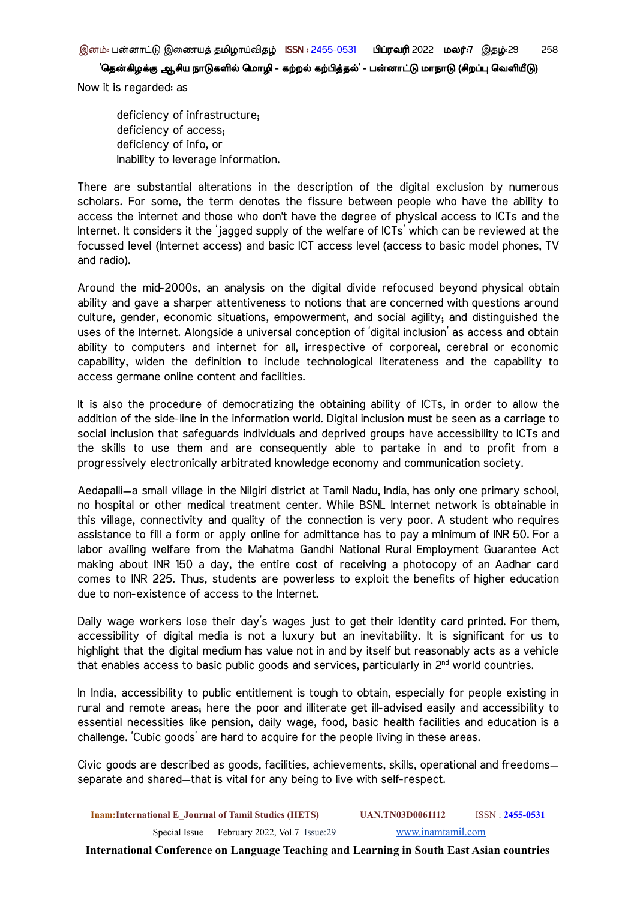Now it is regarded: as

deficiency of infrastructure; deficiency of access; deficiency of info, or Inability to leverage information.

There are substantial alterations in the description of the digital exclusion by numerous scholars. For some, the term denotes the fissure between people who have the ability to access the internet and those who don't have the degree of physical access to ICTs and the Internet. It considers it the 'jagged supply of the welfare of ICTs' which can be reviewed at the focussed level (Internet access) and basic ICT access level (access to basic model phones, TV and radio).

Around the mid-2000s, an analysis on the digital divide refocused beyond physical obtain ability and gave a sharper attentiveness to notions that are concerned with questions around culture, gender, economic situations, empowerment, and social agility; and distinguished the uses of the Internet. Alongside a universal conception of 'digital inclusion' as access and obtain ability to computers and internet for all, irrespective of corporeal, cerebral or economic capability, widen the definition to include technological literateness and the capability to access germane online content and facilities.

It is also the procedure of democratizing the obtaining ability of ICTs, in order to allow the addition of the side-line in the information world. Digital inclusion must be seen as a carriage to social inclusion that safeguards individuals and deprived groups have accessibility to ICTs and the skills to use them and are consequently able to partake in and to profit from a progressively electronically arbitrated knowledge economy and communication society.

Aedapalli—a small village in the Nilgiri district at Tamil Nadu, India, has only one primary school, no hospital or other medical treatment center. While BSNL Internet network is obtainable in this village, connectivity and quality of the connection is very poor. A student who requires assistance to fill a form or apply online for admittance has to pay a minimum of INR 50. For a labor availing welfare from the Mahatma Gandhi National Rural Employment Guarantee Act making about INR 150 a day, the entire cost of receiving a photocopy of an Aadhar card comes to INR 225. Thus, students are powerless to exploit the benefits of higher education due to non-existence of access to the Internet.

Daily wage workers lose their day's wages just to get their identity card printed. For them, accessibility of digital media is not a luxury but an inevitability. It is significant for us to highlight that the digital medium has value not in and by itself but reasonably acts as a vehicle that enables access to basic public goods and services, particularly in  $2^{nd}$  world countries.

In India, accessibility to public entitlement is tough to obtain, especially for people existing in rural and remote areas; here the poor and illiterate get ill-advised easily and accessibility to essential necessities like pension, daily wage, food, basic health facilities and education is a challenge. 'Cubic goods' are hard to acquire for the people living in these areas.

Civic goods are described as goods, facilities, achievements, skills, operational and freedoms separate and shared—that is vital for any being to live with self-respect.

**Inam:International E\_Journal of Tamil Studies (IIETS) UAN.TN03D0061112** ISSN : **2455-0531** Special Issue February 2022, Vol.7 Issue:29 [www.inamtamil.com](http://www.inamtamil.com)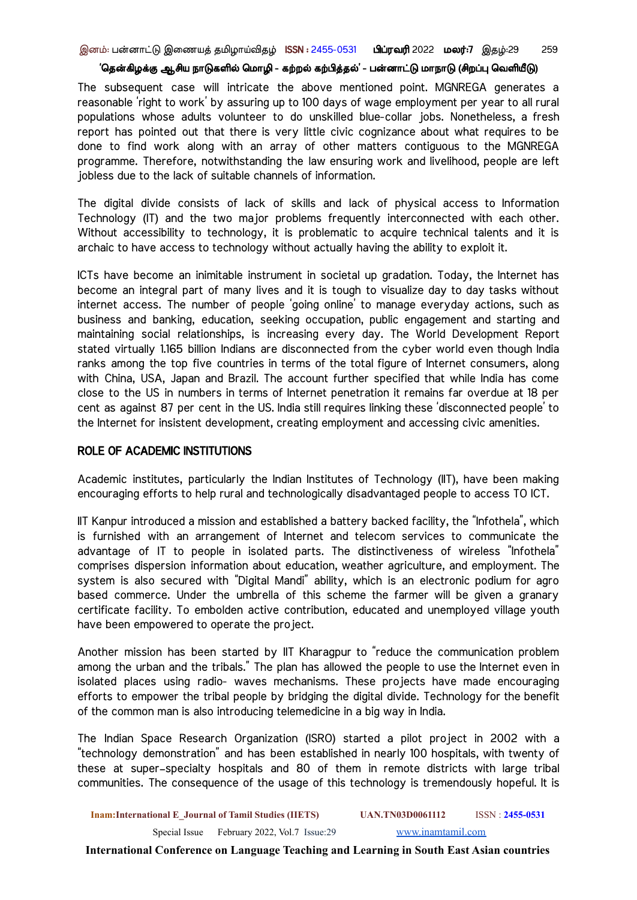இனம்: பன்னாட்டு இணையத் தமிழாய்விதழ் ISSN : 2455-0531 பிப்ரவரி 2022 மலர்:7 இதழ்:29 259

#### 'தென்கிழக்கு ஆசிய நாடுகளில் மொழி - கற்றல் கற்பித்தல்' - பன்னாட்டு மாநாடு (சிறப்பு வெளியீடு)

The subsequent case will intricate the above mentioned point. MGNREGA generates a reasonable 'right to work' by assuring up to 100 days of wage employment per year to all rural populations whose adults volunteer to do unskilled blue-collar jobs. Nonetheless, a fresh report has pointed out that there is very little civic cognizance about what requires to be done to find work along with an array of other matters contiguous to the MGNREGA programme. Therefore, notwithstanding the law ensuring work and livelihood, people are left jobless due to the lack of suitable channels of information.

The digital divide consists of lack of skills and lack of physical access to Information Technology (IT) and the two major problems frequently interconnected with each other. Without accessibility to technology, it is problematic to acquire technical talents and it is archaic to have access to technology without actually having the ability to exploit it.

ICTs have become an inimitable instrument in societal up gradation. Today, the Internet has become an integral part of many lives and it is tough to visualize day to day tasks without internet access. The number of people 'going online' to manage everyday actions, such as business and banking, education, seeking occupation, public engagement and starting and maintaining social relationships, is increasing every day. The World Development Report stated virtually 1.165 billion Indians are disconnected from the cyber world even though India ranks among the top five countries in terms of the total figure of Internet consumers, along with China, USA, Japan and Brazil. The account further specified that while India has come close to the US in numbers in terms of Internet penetration it remains far overdue at 18 per cent as against 87 per cent in the US. India still requires linking these 'disconnected people' to the Internet for insistent development, creating employment and accessing civic amenities.

### ROLE OF ACADEMIC INSTITUTIONS

Academic institutes, particularly the Indian Institutes of Technology (IIT), have been making encouraging efforts to help rural and technologically disadvantaged people to access TO ICT.

IIT Kanpur introduced a mission and established a battery backed facility, the "Infothela", which is furnished with an arrangement of Internet and telecom services to communicate the advantage of IT to people in isolated parts. The distinctiveness of wireless "Infothela" comprises dispersion information about education, weather agriculture, and employment. The system is also secured with "Digital Mandi" ability, which is an electronic podium for agro based commerce. Under the umbrella of this scheme the farmer will be given a granary certificate facility. To embolden active contribution, educated and unemployed village youth have been empowered to operate the project.

Another mission has been started by IIT Kharagpur to "reduce the communication problem among the urban and the tribals." The plan has allowed the people to use the Internet even in isolated places using radio- waves mechanisms. These projects have made encouraging efforts to empower the tribal people by bridging the digital divide. Technology for the benefit of the common man is also introducing telemedicine in a big way in India.

The Indian Space Research Organization (ISRO) started a pilot project in 2002 with a "technology demonstration" and has been established in nearly 100 hospitals, with twenty of these at super–specialty hospitals and 80 of them in remote districts with large tribal communities. The consequence of the usage of this technology is tremendously hopeful. It is

**Inam:International E\_Journal of Tamil Studies (IIETS) UAN.TN03D0061112** ISSN : **2455-0531**

Special Issue February 2022, Vol.7 Issue:29 [www.inamtamil.com](http://www.inamtamil.com)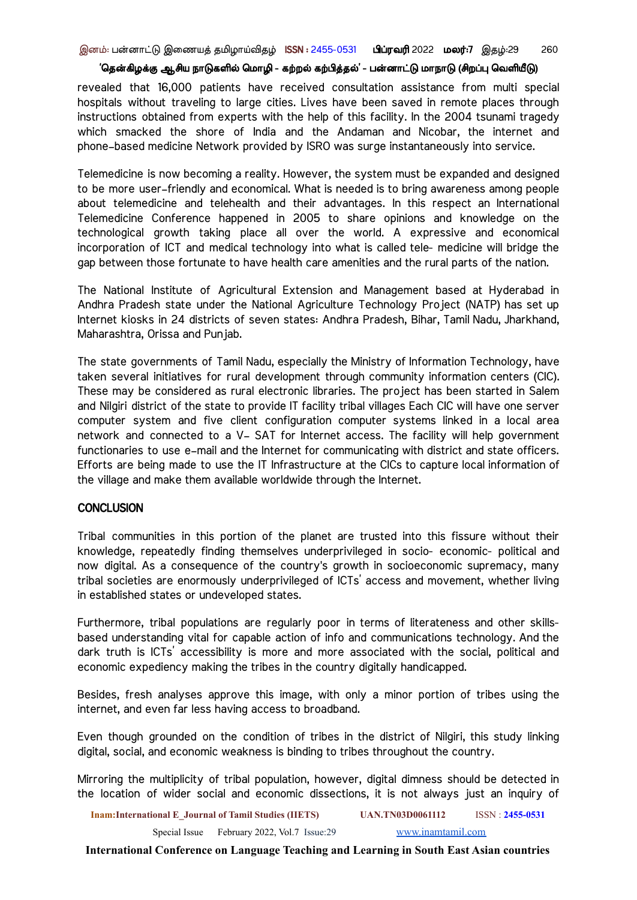revealed that 16,000 patients have received consultation assistance from multi special hospitals without traveling to large cities. Lives have been saved in remote places through instructions obtained from experts with the help of this facility. In the 2004 tsunami tragedy which smacked the shore of India and the Andaman and Nicobar, the internet and phone–based medicine Network provided by ISRO was surge instantaneously into service.

Telemedicine is now becoming a reality. However, the system must be expanded and designed to be more user–friendly and economical. What is needed is to bring awareness among people about telemedicine and telehealth and their advantages. In this respect an International Telemedicine Conference happened in 2005 to share opinions and knowledge on the technological growth taking place all over the world. A expressive and economical incorporation of ICT and medical technology into what is called tele- medicine will bridge the gap between those fortunate to have health care amenities and the rural parts of the nation.

The National Institute of Agricultural Extension and Management based at Hyderabad in Andhra Pradesh state under the National Agriculture Technology Project (NATP) has set up Internet kiosks in 24 districts of seven states: Andhra Pradesh, Bihar, Tamil Nadu, Jharkhand, Maharashtra, Orissa and Punjab.

The state governments of Tamil Nadu, especially the Ministry of Information Technology, have taken several initiatives for rural development through community information centers (CIC). These may be considered as rural electronic libraries. The project has been started in Salem and Nilgiri district of the state to provide IT facility tribal villages Each CIC will have one server computer system and five client configuration computer systems linked in a local area network and connected to a V– SAT for Internet access. The facility will help government functionaries to use e–mail and the Internet for communicating with district and state officers. Efforts are being made to use the IT Infrastructure at the CICs to capture local information of the village and make them available worldwide through the Internet.

#### **CONCLUSION**

Tribal communities in this portion of the planet are trusted into this fissure without their knowledge, repeatedly finding themselves underprivileged in socio- economic- political and now digital. As a consequence of the country's growth in socioeconomic supremacy, many tribal societies are enormously underprivileged of ICTs' access and movement, whether living in established states or undeveloped states.

Furthermore, tribal populations are regularly poor in terms of literateness and other skillsbased understanding vital for capable action of info and communications technology. And the dark truth is ICTs' accessibility is more and more associated with the social, political and economic expediency making the tribes in the country digitally handicapped.

Besides, fresh analyses approve this image, with only a minor portion of tribes using the internet, and even far less having access to broadband.

Even though grounded on the condition of tribes in the district of Nilgiri, this study linking digital, social, and economic weakness is binding to tribes throughout the country.

Mirroring the multiplicity of tribal population, however, digital dimness should be detected in the location of wider social and economic dissections, it is not always just an inquiry of

**Inam:International E\_Journal of Tamil Studies (IIETS) UAN.TN03D0061112** ISSN : **2455-0531** Special Issue February 2022, Vol.7 Issue:29 [www.inamtamil.com](http://www.inamtamil.com)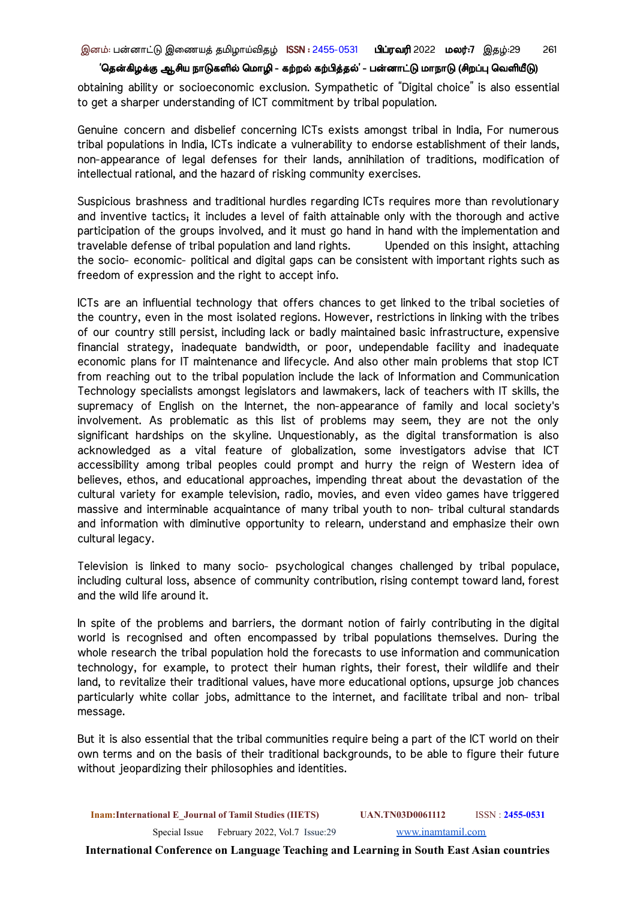obtaining ability or socioeconomic exclusion. Sympathetic of "Digital choice" is also essential to get a sharper understanding of ICT commitment by tribal population.

Genuine concern and disbelief concerning ICTs exists amongst tribal in India, For numerous tribal populations in India, ICTs indicate a vulnerability to endorse establishment of their lands, non-appearance of legal defenses for their lands, annihilation of traditions, modification of intellectual rational, and the hazard of risking community exercises.

Suspicious brashness and traditional hurdles regarding ICTs requires more than revolutionary and inventive tactics; it includes a level of faith attainable only with the thorough and active participation of the groups involved, and it must go hand in hand with the implementation and travelable defense of tribal population and land rights. Upended on this insight, attaching the socio- economic- political and digital gaps can be consistent with important rights such as freedom of expression and the right to accept info.

ICTs are an influential technology that offers chances to get linked to the tribal societies of the country, even in the most isolated regions. However, restrictions in linking with the tribes of our country still persist, including lack or badly maintained basic infrastructure, expensive financial strategy, inadequate bandwidth, or poor, undependable facility and inadequate economic plans for IT maintenance and lifecycle. And also other main problems that stop ICT from reaching out to the tribal population include the lack of Information and Communication Technology specialists amongst legislators and lawmakers, lack of teachers with IT skills, the supremacy of English on the Internet, the non-appearance of family and local society's involvement. As problematic as this list of problems may seem, they are not the only significant hardships on the skyline. Unquestionably, as the digital transformation is also acknowledged as a vital feature of globalization, some investigators advise that ICT accessibility among tribal peoples could prompt and hurry the reign of Western idea of believes, ethos, and educational approaches, impending threat about the devastation of the cultural variety for example television, radio, movies, and even video games have triggered massive and interminable acquaintance of many tribal youth to non- tribal cultural standards and information with diminutive opportunity to relearn, understand and emphasize their own cultural legacy.

Television is linked to many socio- psychological changes challenged by tribal populace, including cultural loss, absence of community contribution, rising contempt toward land, forest and the wild life around it.

In spite of the problems and barriers, the dormant notion of fairly contributing in the digital world is recognised and often encompassed by tribal populations themselves. During the whole research the tribal population hold the forecasts to use information and communication technology, for example, to protect their human rights, their forest, their wildlife and their land, to revitalize their traditional values, have more educational options, upsurge job chances particularly white collar jobs, admittance to the internet, and facilitate tribal and non- tribal message.

But it is also essential that the tribal communities require being a part of the ICT world on their own terms and on the basis of their traditional backgrounds, to be able to figure their future without jeopardizing their philosophies and identities.

**Inam:International E\_Journal of Tamil Studies (IIETS) UAN.TN03D0061112** ISSN : **2455-0531** Special Issue February 2022, Vol.7 Issue:29 [www.inamtamil.com](http://www.inamtamil.com)